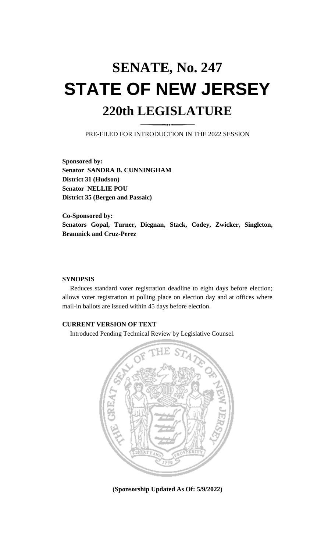# **SENATE, No. 247 STATE OF NEW JERSEY 220th LEGISLATURE**

PRE-FILED FOR INTRODUCTION IN THE 2022 SESSION

**Sponsored by: Senator SANDRA B. CUNNINGHAM District 31 (Hudson) Senator NELLIE POU District 35 (Bergen and Passaic)**

**Co-Sponsored by: Senators Gopal, Turner, Diegnan, Stack, Codey, Zwicker, Singleton, Bramnick and Cruz-Perez**

## **SYNOPSIS**

Reduces standard voter registration deadline to eight days before election; allows voter registration at polling place on election day and at offices where mail-in ballots are issued within 45 days before election.

## **CURRENT VERSION OF TEXT**

Introduced Pending Technical Review by Legislative Counsel.



**(Sponsorship Updated As Of: 5/9/2022)**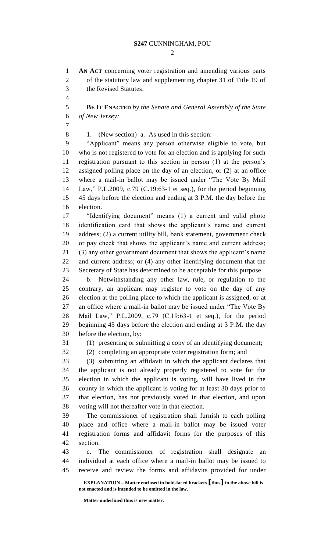$\mathcal{D}_{\mathcal{L}}$ 

**AN ACT** concerning voter registration and amending various parts

 of the statutory law and supplementing chapter 31 of Title 19 of the Revised Statutes. **BE IT ENACTED** *by the Senate and General Assembly of the State of New Jersey:* 1. (New section) a. As used in this section: "Applicant" means any person otherwise eligible to vote, but who is not registered to vote for an election and is applying for such registration pursuant to this section in person (1) at the person's assigned polling place on the day of an election, or (2) at an office

 where a mail-in ballot may be issued under "The Vote By Mail Law," P.L.2009, c.79 (C.19:63-1 et seq.), for the period beginning 45 days before the election and ending at 3 P.M. the day before the election.

 "Identifying document" means (1) a current and valid photo identification card that shows the applicant's name and current address; (2) a current utility bill, bank statement, government check or pay check that shows the applicant's name and current address; (3) any other government document that shows the applicant's name and current address; or (4) any other identifying document that the Secretary of State has determined to be acceptable for this purpose.

 b. Notwithstanding any other law, rule, or regulation to the contrary, an applicant may register to vote on the day of any election at the polling place to which the applicant is assigned, or at an office where a mail-in ballot may be issued under "The Vote By Mail Law," P.L.2009, c.79 (C.19:63-1 et seq.), for the period beginning 45 days before the election and ending at 3 P.M. the day before the election, by:

(1) presenting or submitting a copy of an identifying document;

(2) completing an appropriate voter registration form; and

 (3) submitting an affidavit in which the applicant declares that the applicant is not already properly registered to vote for the election in which the applicant is voting, will have lived in the county in which the applicant is voting for at least 30 days prior to that election, has not previously voted in that election, and upon voting will not thereafter vote in that election.

 The commissioner of registration shall furnish to each polling place and office where a mail-in ballot may be issued voter registration forms and affidavit forms for the purposes of this section.

 c. The commissioner of registration shall designate an individual at each office where a mail-in ballot may be issued to receive and review the forms and affidavits provided for under

**EXPLANATION – Matter enclosed in bold-faced brackets [thus] in the above bill is not enacted and is intended to be omitted in the law.**

**Matter underlined thus is new matter.**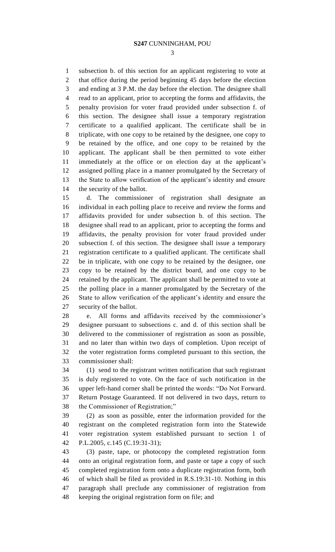subsection b. of this section for an applicant registering to vote at that office during the period beginning 45 days before the election and ending at 3 P.M. the day before the election. The designee shall read to an applicant, prior to accepting the forms and affidavits, the penalty provision for voter fraud provided under subsection f. of this section. The designee shall issue a temporary registration certificate to a qualified applicant. The certificate shall be in triplicate, with one copy to be retained by the designee, one copy to be retained by the office, and one copy to be retained by the applicant. The applicant shall be then permitted to vote either immediately at the office or on election day at the applicant's assigned polling place in a manner promulgated by the Secretary of the State to allow verification of the applicant's identity and ensure the security of the ballot.

 d. The commissioner of registration shall designate an individual in each polling place to receive and review the forms and affidavits provided for under subsection b. of this section. The designee shall read to an applicant, prior to accepting the forms and affidavits, the penalty provision for voter fraud provided under subsection f. of this section. The designee shall issue a temporary registration certificate to a qualified applicant. The certificate shall be in triplicate, with one copy to be retained by the designee, one copy to be retained by the district board, and one copy to be retained by the applicant. The applicant shall be permitted to vote at the polling place in a manner promulgated by the Secretary of the State to allow verification of the applicant's identity and ensure the security of the ballot.

 e. All forms and affidavits received by the commissioner's designee pursuant to subsections c. and d. of this section shall be delivered to the commissioner of registration as soon as possible, and no later than within two days of completion. Upon receipt of the voter registration forms completed pursuant to this section, the commissioner shall:

 (1) send to the registrant written notification that such registrant is duly registered to vote. On the face of such notification in the upper left-hand corner shall be printed the words: "Do Not Forward. Return Postage Guaranteed. If not delivered in two days, return to the Commissioner of Registration;"

 (2) as soon as possible, enter the information provided for the registrant on the completed registration form into the Statewide voter registration system established pursuant to section 1 of P.L.2005, c.145 (C.19:31-31);

 (3) paste, tape, or photocopy the completed registration form onto an original registration form, and paste or tape a copy of such completed registration form onto a duplicate registration form, both of which shall be filed as provided in R.S.19:31-10. Nothing in this paragraph shall preclude any commissioner of registration from keeping the original registration form on file; and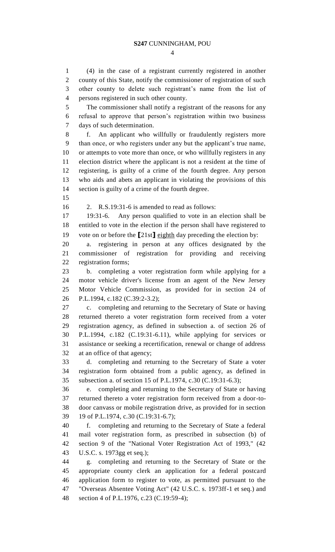(4) in the case of a registrant currently registered in another county of this State, notify the commissioner of registration of such other county to delete such registrant's name from the list of persons registered in such other county. The commissioner shall notify a registrant of the reasons for any

 refusal to approve that person's registration within two business days of such determination.

 f. An applicant who willfully or fraudulently registers more than once, or who registers under any but the applicant's true name, or attempts to vote more than once, or who willfully registers in any election district where the applicant is not a resident at the time of registering, is guilty of a crime of the fourth degree. Any person who aids and abets an applicant in violating the provisions of this section is guilty of a crime of the fourth degree.

2. R.S.19:31-6 is amended to read as follows:

 19:31-6. Any person qualified to vote in an election shall be entitled to vote in the election if the person shall have registered to vote on or before the **[**21st**]** eighth day preceding the election by:

 a. registering in person at any offices designated by the commissioner of registration for providing and receiving registration forms;

 b. completing a voter registration form while applying for a motor vehicle driver's license from an agent of the New Jersey Motor Vehicle Commission, as provided for in section 24 of P.L.1994, c.182 (C.39:2-3.2);

 c. completing and returning to the Secretary of State or having returned thereto a voter registration form received from a voter registration agency, as defined in subsection a. of section 26 of P.L.1994, c.182 (C.19:31-6.11), while applying for services or assistance or seeking a recertification, renewal or change of address at an office of that agency;

 d. completing and returning to the Secretary of State a voter registration form obtained from a public agency, as defined in subsection a. of section 15 of P.L.1974, c.30 (C.19:31-6.3);

 e. completing and returning to the Secretary of State or having returned thereto a voter registration form received from a door-to- door canvass or mobile registration drive, as provided for in section 19 of P.L.1974, c.30 (C.19:31-6.7);

 f. completing and returning to the Secretary of State a federal mail voter registration form, as prescribed in subsection (b) of section 9 of the "National Voter Registration Act of 1993," (42 U.S.C. s. 1973gg et seq.);

 g. completing and returning to the Secretary of State or the appropriate county clerk an application for a federal postcard application form to register to vote, as permitted pursuant to the "Overseas Absentee Voting Act" (42 U.S.C. s. 1973ff-1 et seq.) and section 4 of P.L.1976, c.23 (C.19:59-4);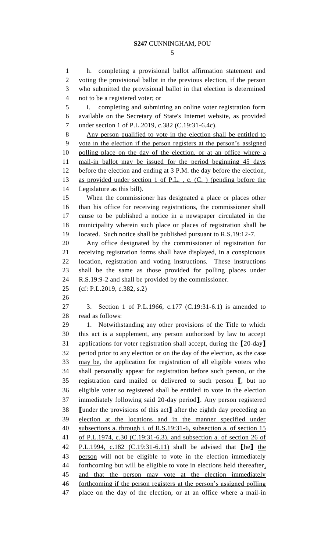h. completing a provisional ballot affirmation statement and voting the provisional ballot in the previous election, if the person who submitted the provisional ballot in that election is determined not to be a registered voter; or i. completing and submitting an online voter registration form available on the Secretary of State's Internet website, as provided under section 1 of P.L.2019, c.382 (C.19:31-6.4c).

 Any person qualified to vote in the election shall be entitled to vote in the election if the person registers at the person's assigned polling place on the day of the election, or at an office where a 11 mail-in ballot may be issued for the period beginning 45 days 12 before the election and ending at 3 P.M. the day before the election, as provided under section 1 of P.L. , c. (C. ) (pending before the Legislature as this bill).

 When the commissioner has designated a place or places other than his office for receiving registrations, the commissioner shall cause to be published a notice in a newspaper circulated in the municipality wherein such place or places of registration shall be located. Such notice shall be published pursuant to R.S.19:12-7.

 Any office designated by the commissioner of registration for receiving registration forms shall have displayed, in a conspicuous location, registration and voting instructions. These instructions shall be the same as those provided for polling places under R.S.19:9-2 and shall be provided by the commissioner.

(cf: P.L.2019, c.382, s.2)

 3. Section 1 of P.L.1966, c.177 (C.19:31-6.1) is amended to read as follows:

 1. Notwithstanding any other provisions of the Title to which this act is a supplement, any person authorized by law to accept applications for voter registration shall accept, during the **[**20-day**]** period prior to any election or on the day of the election, as the case may be, the application for registration of all eligible voters who shall personally appear for registration before such person, or the registration card mailed or delivered to such person **[**, but no eligible voter so registered shall be entitled to vote in the election immediately following said 20-day period**]**. Any person registered **[**under the provisions of this act**]** after the eighth day preceding an election at the locations and in the manner specified under subsections a. through i. of R.S.19:31-6, subsection a. of section 15 of P.L.1974, c.30 (C.19:31-6.3), and subsection a. of section 26 of P.L.1994, c.182 (C.19:31-6.11) shall be advised that **[**he**]** the person will not be eligible to vote in the election immediately forthcoming but will be eligible to vote in elections held thereafter, 45 and that the person may vote at the election immediately forthcoming if the person registers at the person's assigned polling 47 place on the day of the election, or at an office where a mail-in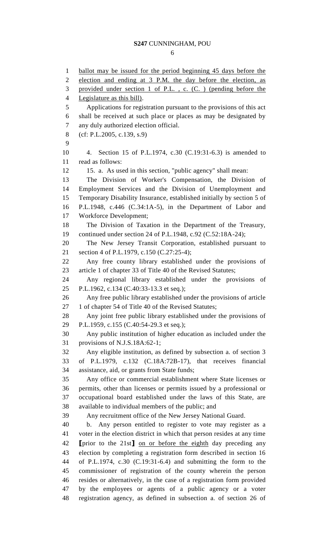ballot may be issued for the period beginning 45 days before the election and ending at 3 P.M. the day before the election, as provided under section 1 of P.L. , c. (C. ) (pending before the Legislature as this bill). Applications for registration pursuant to the provisions of this act shall be received at such place or places as may be designated by any duly authorized election official. (cf: P.L.2005, c.139, s.9) 4. Section 15 of P.L.1974, c.30 (C.19:31-6.3) is amended to read as follows: 15. a. As used in this section, "public agency" shall mean: The Division of Worker's Compensation, the Division of Employment Services and the Division of Unemployment and Temporary Disability Insurance, established initially by section 5 of P.L.1948, c.446 (C.34:1A-5), in the Department of Labor and Workforce Development; The Division of Taxation in the Department of the Treasury, continued under section 24 of P.L.1948, c.92 (C.52:18A-24); The New Jersey Transit Corporation, established pursuant to section 4 of P.L.1979, c.150 (C.27:25-4); Any free county library established under the provisions of article 1 of chapter 33 of Title 40 of the Revised Statutes; Any regional library established under the provisions of P.L.1962, c.134 (C.40:33-13.3 et seq.); Any free public library established under the provisions of article 27 1 of chapter 54 of Title 40 of the Revised Statutes; Any joint free public library established under the provisions of P.L.1959, c.155 (C.40:54-29.3 et seq.); Any public institution of higher education as included under the provisions of N.J.S.18A:62-1; Any eligible institution, as defined by subsection a. of section 3 of P.L.1979, c.132 (C.18A:72B-17), that receives financial assistance, aid, or grants from State funds; Any office or commercial establishment where State licenses or permits, other than licenses or permits issued by a professional or occupational board established under the laws of this State, are available to individual members of the public; and Any recruitment office of the New Jersey National Guard. b. Any person entitled to register to vote may register as a voter in the election district in which that person resides at any time **[**prior to the 21st**]** on or before the eighth day preceding any election by completing a registration form described in section 16 of P.L.1974, c.30 (C.19:31-6.4) and submitting the form to the commissioner of registration of the county wherein the person resides or alternatively, in the case of a registration form provided by the employees or agents of a public agency or a voter registration agency, as defined in subsection a. of section 26 of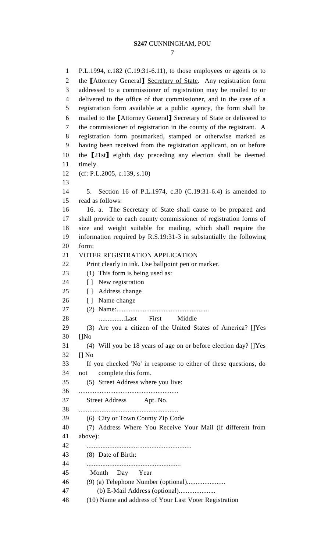P.L.1994, c.182 (C.19:31-6.11), to those employees or agents or to the **[**Attorney General**]** Secretary of State. Any registration form addressed to a commissioner of registration may be mailed to or delivered to the office of that commissioner, and in the case of a registration form available at a public agency, the form shall be mailed to the **[**Attorney General**]** Secretary of State or delivered to the commissioner of registration in the county of the registrant. A registration form postmarked, stamped or otherwise marked as having been received from the registration applicant, on or before the **[**21st**]** eighth day preceding any election shall be deemed timely. (cf: P.L.2005, c.139, s.10) 5. Section 16 of P.L.1974, c.30 (C.19:31-6.4) is amended to read as follows: 16. a. The Secretary of State shall cause to be prepared and shall provide to each county commissioner of registration forms of size and weight suitable for mailing, which shall require the information required by R.S.19:31-3 in substantially the following form: VOTER REGISTRATION APPLICATION Print clearly in ink. Use ballpoint pen or marker. 23 (1) This form is being used as: 24 [ ] New registration 25 [ ] Address change 26 [ ] Name change (2) Name:..................................................... 28 ...............Last First Middle (3) Are you a citizen of the United States of America? []Yes []No (4) Will you be 18 years of age on or before election day? []Yes [] No If you checked 'No' in response to either of these questions, do not complete this form. (5) Street Address where you live: ......................................................... Street Address Apt. No. ......................................................... (6) City or Town County Zip Code (7) Address Where You Receive Your Mail (if different from above): ............................................................ (8) Date of Birth: ...................................................... 45 Month Day Year (9) (a) Telephone Number (optional)...................... 47 (b) E-Mail Address (optional).....................

(10) Name and address of Your Last Voter Registration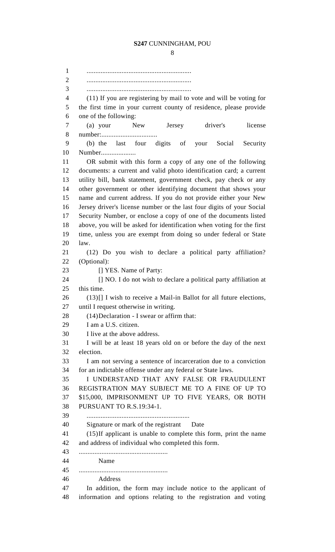............................................................ ............................................................ (11) If you are registering by mail to vote and will be voting for the first time in your current county of residence, please provide one of the following: (a) your New Jersey driver's license number:................................ (b) the last four digits of your Social Security Number.................... OR submit with this form a copy of any one of the following documents: a current and valid photo identification card; a current utility bill, bank statement, government check, pay check or any other government or other identifying document that shows your name and current address. If you do not provide either your New Jersey driver's license number or the last four digits of your Social Security Number, or enclose a copy of one of the documents listed above, you will be asked for identification when voting for the first time, unless you are exempt from doing so under federal or State law. (12) Do you wish to declare a political party affiliation? (Optional): 23 [] YES. Name of Party: [] NO. I do not wish to declare a political party affiliation at this time. (13)[] I wish to receive a Mail-in Ballot for all future elections, until I request otherwise in writing. 28 (14) Declaration - I swear or affirm that: I am a U.S. citizen. I live at the above address. I will be at least 18 years old on or before the day of the next election. I am not serving a sentence of incarceration due to a conviction for an indictable offense under any federal or State laws. I UNDERSTAND THAT ANY FALSE OR FRAUDULENT REGISTRATION MAY SUBJECT ME TO A FINE OF UP TO \$15,000, IMPRISONMENT UP TO FIVE YEARS, OR BOTH PURSUANT TO R.S.19:34-1. ........................................................... Signature or mark of the registrant Date (15)If applicant is unable to complete this form, print the name and address of individual who completed this form. ................................................... Name ................................................... Address In addition, the form may include notice to the applicant of

information and options relating to the registration and voting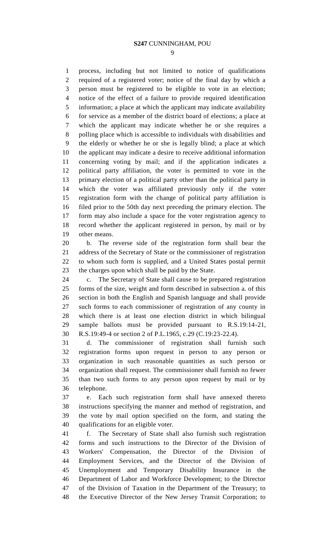process, including but not limited to notice of qualifications required of a registered voter; notice of the final day by which a person must be registered to be eligible to vote in an election; notice of the effect of a failure to provide required identification information; a place at which the applicant may indicate availability for service as a member of the district board of elections; a place at which the applicant may indicate whether he or she requires a polling place which is accessible to individuals with disabilities and the elderly or whether he or she is legally blind; a place at which the applicant may indicate a desire to receive additional information concerning voting by mail; and if the application indicates a political party affiliation, the voter is permitted to vote in the primary election of a political party other than the political party in which the voter was affiliated previously only if the voter registration form with the change of political party affiliation is filed prior to the 50th day next preceding the primary election. The form may also include a space for the voter registration agency to record whether the applicant registered in person, by mail or by other means.

 b. The reverse side of the registration form shall bear the address of the Secretary of State or the commissioner of registration to whom such form is supplied, and a United States postal permit the charges upon which shall be paid by the State.

 c. The Secretary of State shall cause to be prepared registration forms of the size, weight and form described in subsection a. of this section in both the English and Spanish language and shall provide such forms to each commissioner of registration of any county in which there is at least one election district in which bilingual sample ballots must be provided pursuant to R.S.19:14-21, R.S.19:49-4 or section 2 of P.L.1965, c.29 (C.19:23-22.4).

 d. The commissioner of registration shall furnish such registration forms upon request in person to any person or organization in such reasonable quantities as such person or organization shall request. The commissioner shall furnish no fewer than two such forms to any person upon request by mail or by telephone.

 e. Each such registration form shall have annexed thereto instructions specifying the manner and method of registration, and the vote by mail option specified on the form, and stating the qualifications for an eligible voter.

 f. The Secretary of State shall also furnish such registration forms and such instructions to the Director of the Division of Workers' Compensation, the Director of the Division of Employment Services, and the Director of the Division of Unemployment and Temporary Disability Insurance in the Department of Labor and Workforce Development; to the Director of the Division of Taxation in the Department of the Treasury; to the Executive Director of the New Jersey Transit Corporation; to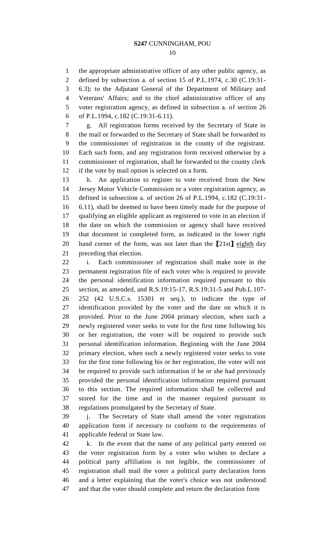the appropriate administrative officer of any other public agency, as defined by subsection a. of section 15 of P.L.1974, c.30 (C.19:31- 6.3); to the Adjutant General of the Department of Military and Veterans' Affairs; and to the chief administrative officer of any voter registration agency, as defined in subsection a. of section 26 of P.L.1994, c.182 (C.19:31-6.11).

 g. All registration forms received by the Secretary of State in the mail or forwarded to the Secretary of State shall be forwarded to the commissioner of registration in the county of the registrant. Each such form, and any registration form received otherwise by a commissioner of registration, shall be forwarded to the county clerk if the vote by mail option is selected on a form.

 h. An application to register to vote received from the New Jersey Motor Vehicle Commission or a voter registration agency, as defined in subsection a. of section 26 of P.L.1994, c.182 (C.19:31- 6.11), shall be deemed to have been timely made for the purpose of qualifying an eligible applicant as registered to vote in an election if the date on which the commission or agency shall have received that document in completed form, as indicated in the lower right hand corner of the form, was not later than the **[**21st**]** eighth day preceding that election.

 i. Each commissioner of registration shall make note in the permanent registration file of each voter who is required to provide the personal identification information required pursuant to this section, as amended, and R.S.19:15-17, R.S.19:31-5 and Pub.L.107- 252 (42 U.S.C.s. 15301 et seq.), to indicate the type of identification provided by the voter and the date on which it is provided. Prior to the June 2004 primary election, when such a newly registered voter seeks to vote for the first time following his or her registration, the voter will be required to provide such personal identification information. Beginning with the June 2004 primary election, when such a newly registered voter seeks to vote for the first time following his or her registration, the voter will not be required to provide such information if he or she had previously provided the personal identification information required pursuant to this section. The required information shall be collected and stored for the time and in the manner required pursuant to regulations promulgated by the Secretary of State.

 j. The Secretary of State shall amend the voter registration application form if necessary to conform to the requirements of applicable federal or State law.

 k. In the event that the name of any political party entered on the voter registration form by a voter who wishes to declare a political party affiliation is not legible, the commissioner of registration shall mail the voter a political party declaration form and a letter explaining that the voter's choice was not understood and that the voter should complete and return the declaration form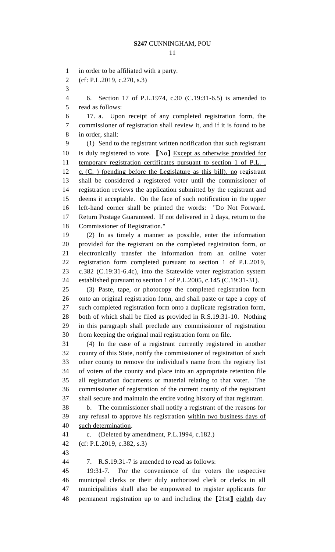in order to be affiliated with a party.

(cf: P.L.2019, c.270, s.3)

 6. Section 17 of P.L.1974, c.30 (C.19:31-6.5) is amended to read as follows:

 17. a. Upon receipt of any completed registration form, the commissioner of registration shall review it, and if it is found to be in order, shall:

 (1) Send to the registrant written notification that such registrant is duly registered to vote. **[**No**]** Except as otherwise provided for 11 temporary registration certificates pursuant to section 1 of P.L., c. (C. ) (pending before the Legislature as this bill), no registrant shall be considered a registered voter until the commissioner of registration reviews the application submitted by the registrant and deems it acceptable. On the face of such notification in the upper left-hand corner shall be printed the words: "Do Not Forward. Return Postage Guaranteed. If not delivered in 2 days, return to the Commissioner of Registration."

 (2) In as timely a manner as possible, enter the information provided for the registrant on the completed registration form, or electronically transfer the information from an online voter registration form completed pursuant to section 1 of P.L.2019, c.382 (C.19:31-6.4c), into the Statewide voter registration system established pursuant to section 1 of P.L.2005, c.145 (C.19:31-31).

 (3) Paste, tape, or photocopy the completed registration form onto an original registration form, and shall paste or tape a copy of such completed registration form onto a duplicate registration form, both of which shall be filed as provided in R.S.19:31-10. Nothing in this paragraph shall preclude any commissioner of registration from keeping the original mail registration form on file.

 (4) In the case of a registrant currently registered in another county of this State, notify the commissioner of registration of such other county to remove the individual's name from the registry list of voters of the county and place into an appropriate retention file all registration documents or material relating to that voter. The commissioner of registration of the current county of the registrant shall secure and maintain the entire voting history of that registrant.

 b. The commissioner shall notify a registrant of the reasons for any refusal to approve his registration within two business days of such determination.

c. (Deleted by amendment, P.L.1994, c.182.)

(cf: P.L.2019, c.382, s.3)

7. R.S.19:31-7 is amended to read as follows:

 19:31-7. For the convenience of the voters the respective municipal clerks or their duly authorized clerk or clerks in all municipalities shall also be empowered to register applicants for permanent registration up to and including the **[**21st**]** eighth day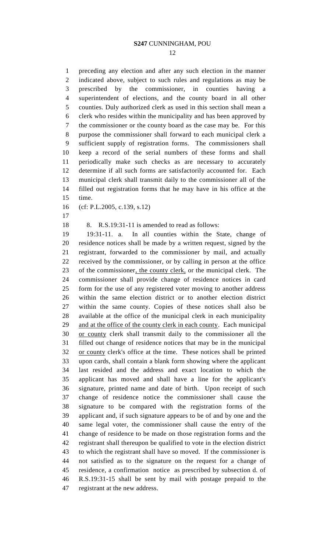preceding any election and after any such election in the manner indicated above, subject to such rules and regulations as may be prescribed by the commissioner, in counties having a superintendent of elections, and the county board in all other counties. Duly authorized clerk as used in this section shall mean a clerk who resides within the municipality and has been approved by the commissioner or the county board as the case may be. For this purpose the commissioner shall forward to each municipal clerk a sufficient supply of registration forms. The commissioners shall keep a record of the serial numbers of these forms and shall periodically make such checks as are necessary to accurately determine if all such forms are satisfactorily accounted for. Each municipal clerk shall transmit daily to the commissioner all of the filled out registration forms that he may have in his office at the time.

(cf: P.L.2005, c.139, s.12)

8. R.S.19:31-11 is amended to read as follows:

 19:31-11. a. In all counties within the State, change of residence notices shall be made by a written request, signed by the registrant, forwarded to the commissioner by mail, and actually received by the commissioner, or by calling in person at the office of the commissioner, the county clerk, or the municipal clerk. The commissioner shall provide change of residence notices in card form for the use of any registered voter moving to another address within the same election district or to another election district within the same county. Copies of these notices shall also be available at the office of the municipal clerk in each municipality 29 and at the office of the county clerk in each county. Each municipal or county clerk shall transmit daily to the commissioner all the filled out change of residence notices that may be in the municipal or county clerk's office at the time. These notices shall be printed upon cards, shall contain a blank form showing where the applicant last resided and the address and exact location to which the applicant has moved and shall have a line for the applicant's signature, printed name and date of birth. Upon receipt of such change of residence notice the commissioner shall cause the signature to be compared with the registration forms of the applicant and, if such signature appears to be of and by one and the same legal voter, the commissioner shall cause the entry of the change of residence to be made on those registration forms and the registrant shall thereupon be qualified to vote in the election district to which the registrant shall have so moved. If the commissioner is not satisfied as to the signature on the request for a change of residence, a confirmation notice as prescribed by subsection d. of R.S.19:31-15 shall be sent by mail with postage prepaid to the registrant at the new address.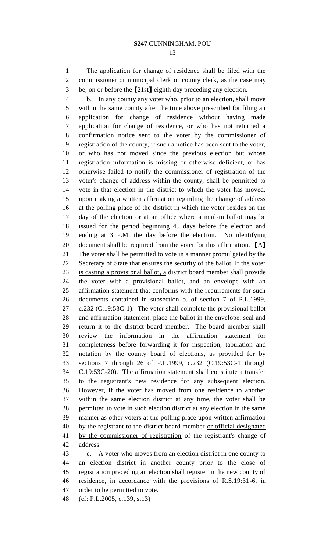The application for change of residence shall be filed with the 2 commissioner or municipal clerk or county clerk, as the case may

be, on or before the **[**21st**]** eighth day preceding any election.

 b. In any county any voter who, prior to an election, shall move within the same county after the time above prescribed for filing an application for change of residence without having made application for change of residence, or who has not returned a confirmation notice sent to the voter by the commissioner of registration of the county, if such a notice has been sent to the voter, or who has not moved since the previous election but whose registration information is missing or otherwise deficient, or has otherwise failed to notify the commissioner of registration of the voter's change of address within the county, shall be permitted to vote in that election in the district to which the voter has moved, upon making a written affirmation regarding the change of address at the polling place of the district in which the voter resides on the 17 day of the election <u>or at an office where a mail-in ballot may be</u> issued for the period beginning 45 days before the election and ending at 3 P.M. the day before the election. No identifying document shall be required from the voter for this affirmation. **[**A**]** The voter shall be permitted to vote in a manner promulgated by the Secretary of State that ensures the security of the ballot. If the voter is casting a provisional ballot, a district board member shall provide the voter with a provisional ballot, and an envelope with an affirmation statement that conforms with the requirements for such documents contained in subsection b. of section 7 of P.L.1999, c.232 (C.19:53C-1). The voter shall complete the provisional ballot and affirmation statement, place the ballot in the envelope, seal and return it to the district board member. The board member shall review the information in the affirmation statement for completeness before forwarding it for inspection, tabulation and notation by the county board of elections, as provided for by sections 7 through 26 of P.L.1999, c.232 (C.19:53C-1 through C.19:53C-20). The affirmation statement shall constitute a transfer to the registrant's new residence for any subsequent election. However, if the voter has moved from one residence to another within the same election district at any time, the voter shall be permitted to vote in such election district at any election in the same manner as other voters at the polling place upon written affirmation 40 by the registrant to the district board member or official designated by the commissioner of registration of the registrant's change of address.

 c. A voter who moves from an election district in one county to an election district in another county prior to the close of registration preceding an election shall register in the new county of residence, in accordance with the provisions of R.S.19:31-6, in order to be permitted to vote.

(cf: P.L.2005, c.139, s.13)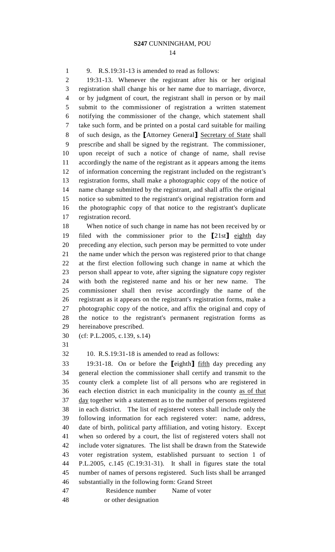9. R.S.19:31-13 is amended to read as follows:

 19:31-13. Whenever the registrant after his or her original registration shall change his or her name due to marriage, divorce, or by judgment of court, the registrant shall in person or by mail submit to the commissioner of registration a written statement notifying the commissioner of the change, which statement shall take such form, and be printed on a postal card suitable for mailing of such design, as the **[**Attorney General**]** Secretary of State shall prescribe and shall be signed by the registrant. The commissioner, upon receipt of such a notice of change of name, shall revise accordingly the name of the registrant as it appears among the items of information concerning the registrant included on the registrant's registration forms, shall make a photographic copy of the notice of name change submitted by the registrant, and shall affix the original notice so submitted to the registrant's original registration form and the photographic copy of that notice to the registrant's duplicate registration record.

 When notice of such change in name has not been received by or filed with the commissioner prior to the **[**21st**]** eighth day preceding any election, such person may be permitted to vote under the name under which the person was registered prior to that change at the first election following such change in name at which the person shall appear to vote, after signing the signature copy register with both the registered name and his or her new name. The commissioner shall then revise accordingly the name of the registrant as it appears on the registrant's registration forms, make a photographic copy of the notice, and affix the original and copy of the notice to the registrant's permanent registration forms as hereinabove prescribed.

(cf: P.L.2005, c.139, s.14)

10. R.S.19:31-18 is amended to read as follows:

 19:31-18. On or before the **[**eighth**]** fifth day preceding any general election the commissioner shall certify and transmit to the county clerk a complete list of all persons who are registered in each election district in each municipality in the county as of that day together with a statement as to the number of persons registered in each district. The list of registered voters shall include only the following information for each registered voter: name, address, date of birth, political party affiliation, and voting history. Except when so ordered by a court, the list of registered voters shall not include voter signatures. The list shall be drawn from the Statewide voter registration system, established pursuant to section 1 of P.L.2005, c.145 (C.19:31-31). It shall in figures state the total number of names of persons registered. Such lists shall be arranged substantially in the following form: Grand Street

47 Residence number Name of voter

48 or other designation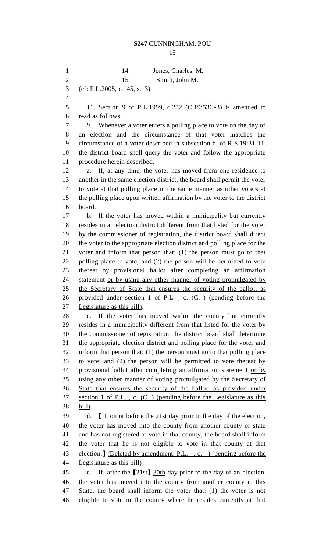1 14 Jones, Charles M. 2 15 Smith, John M. (cf: P.L.2005, c.145, s.13) 11. Section 9 of P.L.1999, c.232 (C.19:53C-3) is amended to read as follows: 9. Whenever a voter enters a polling place to vote on the day of an election and the circumstance of that voter matches the circumstance of a voter described in subsection b. of R.S.19:31-11, the district board shall query the voter and follow the appropriate procedure herein described. a. If, at any time, the voter has moved from one residence to another in the same election district, the board shall permit the voter to vote at that polling place in the same manner as other voters at the polling place upon written affirmation by the voter to the district board. b. If the voter has moved within a municipality but currently resides in an election district different from that listed for the voter by the commissioner of registration, the district board shall direct the voter to the appropriate election district and polling place for the voter and inform that person that: (1) the person must go to that polling place to vote; and (2) the person will be permitted to vote thereat by provisional ballot after completing an affirmation 24 statement or by using any other manner of voting promulgated by the Secretary of State that ensures the security of the ballot, as provided under section 1 of P.L. , c. (C. ) (pending before the Legislature as this bill). c. If the voter has moved within the county but currently resides in a municipality different from that listed for the voter by the commissioner of registration, the district board shall determine the appropriate election district and polling place for the voter and inform that person that: (1) the person must go to that polling place to vote; and (2) the person will be permitted to vote thereat by 34 provisional ballot after completing an affirmation statement or by using any other manner of voting promulgated by the Secretary of State that ensures the security of the ballot, as provided under section 1 of P.L. , c. (C. ) (pending before the Legislature as this bill). d. **[**If, on or before the 21st day prior to the day of the election, the voter has moved into the county from another county or state and has not registered to vote in that county, the board shall inform the voter that he is not eligible to vote in that county at that election.**]** (Deleted by amendment, P.L. , c. ) (pending before the Legislature as this bill) e. If, after the **[**21st**]** 30th day prior to the day of an election, the voter has moved into the county from another county in this State, the board shall inform the voter that: (1) the voter is not eligible to vote in the county where he resides currently at that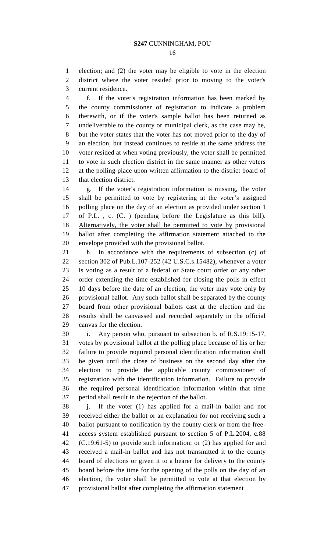election; and (2) the voter may be eligible to vote in the election district where the voter resided prior to moving to the voter's current residence.

 f. If the voter's registration information has been marked by the county commissioner of registration to indicate a problem therewith, or if the voter's sample ballot has been returned as undeliverable to the county or municipal clerk, as the case may be, but the voter states that the voter has not moved prior to the day of an election, but instead continues to reside at the same address the voter resided at when voting previously, the voter shall be permitted to vote in such election district in the same manner as other voters at the polling place upon written affirmation to the district board of that election district.

 g. If the voter's registration information is missing, the voter shall be permitted to vote by registering at the voter's assigned polling place on the day of an election as provided under section 1 of P.L. , c. (C. ) (pending before the Legislature as this bill). Alternatively, the voter shall be permitted to vote by provisional ballot after completing the affirmation statement attached to the envelope provided with the provisional ballot.

 h. In accordance with the requirements of subsection (c) of section 302 of Pub.L.107-252 (42 U.S.C.s.15482), whenever a voter is voting as a result of a federal or State court order or any other order extending the time established for closing the polls in effect 10 days before the date of an election, the voter may vote only by provisional ballot. Any such ballot shall be separated by the county board from other provisional ballots cast at the election and the results shall be canvassed and recorded separately in the official canvas for the election.

 i. Any person who, pursuant to subsection b. of R.S.19:15-17, votes by provisional ballot at the polling place because of his or her failure to provide required personal identification information shall be given until the close of business on the second day after the election to provide the applicable county commissioner of registration with the identification information. Failure to provide the required personal identification information within that time period shall result in the rejection of the ballot.

38 i. If the voter (1) has applied for a mail-in ballot and not received either the ballot or an explanation for not receiving such a ballot pursuant to notification by the county clerk or from the free- access system established pursuant to section 5 of P.L.2004, c.88 (C.19:61-5) to provide such information; or (2) has applied for and received a mail-in ballot and has not transmitted it to the county board of elections or given it to a bearer for delivery to the county board before the time for the opening of the polls on the day of an election, the voter shall be permitted to vote at that election by provisional ballot after completing the affirmation statement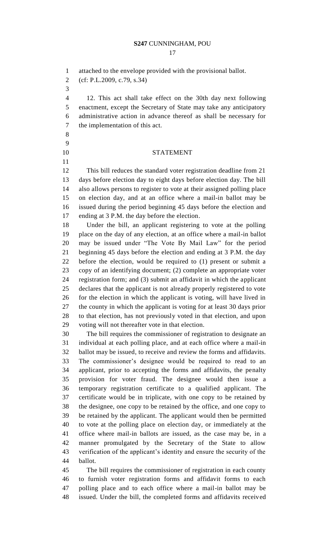attached to the envelope provided with the provisional ballot.

(cf: P.L.2009, c.79, s.34)

 12. This act shall take effect on the 30th day next following enactment, except the Secretary of State may take any anticipatory administrative action in advance thereof as shall be necessary for the implementation of this act.

- 
- 

### STATEMENT

 This bill reduces the standard voter registration deadline from 21 days before election day to eight days before election day. The bill also allows persons to register to vote at their assigned polling place on election day, and at an office where a mail-in ballot may be issued during the period beginning 45 days before the election and ending at 3 P.M. the day before the election.

 Under the bill, an applicant registering to vote at the polling place on the day of any election, at an office where a mail-in ballot may be issued under "The Vote By Mail Law" for the period beginning 45 days before the election and ending at 3 P.M. the day before the election, would be required to (1) present or submit a copy of an identifying document; (2) complete an appropriate voter registration form; and (3) submit an affidavit in which the applicant declares that the applicant is not already properly registered to vote for the election in which the applicant is voting, will have lived in the county in which the applicant is voting for at least 30 days prior to that election, has not previously voted in that election, and upon voting will not thereafter vote in that election.

 The bill requires the commissioner of registration to designate an individual at each polling place, and at each office where a mail-in ballot may be issued, to receive and review the forms and affidavits. The commissioner's designee would be required to read to an applicant, prior to accepting the forms and affidavits, the penalty provision for voter fraud. The designee would then issue a temporary registration certificate to a qualified applicant. The certificate would be in triplicate, with one copy to be retained by the designee, one copy to be retained by the office, and one copy to be retained by the applicant. The applicant would then be permitted to vote at the polling place on election day, or immediately at the office where mail-in ballots are issued, as the case may be, in a manner promulgated by the Secretary of the State to allow verification of the applicant's identity and ensure the security of the ballot.

 The bill requires the commissioner of registration in each county to furnish voter registration forms and affidavit forms to each polling place and to each office where a mail-in ballot may be issued. Under the bill, the completed forms and affidavits received